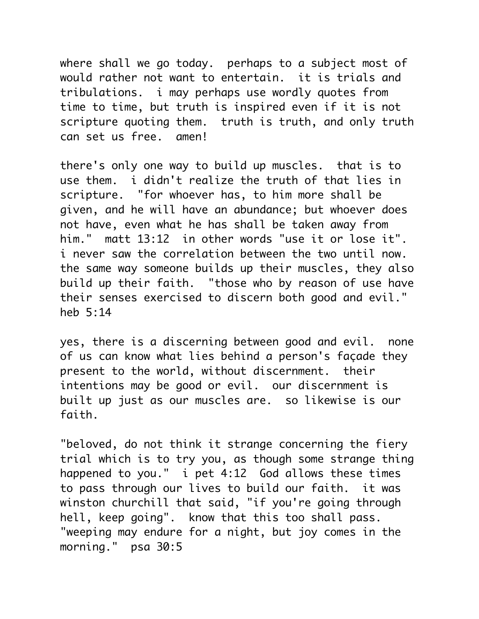where shall we go today. perhaps to a subject most of would rather not want to entertain. it is trials and tribulations. i may perhaps use wordly quotes from time to time, but truth is inspired even if it is not scripture quoting them. truth is truth, and only truth can set us free. amen!

there's only one way to build up muscles. that is to use them. i didn't realize the truth of that lies in scripture. "for whoever has, to him more shall be given, and he will have an abundance; but whoever does not have, even what he has shall be taken away from him." matt 13:12 in other words "use it or lose it". i never saw the correlation between the two until now. the same way someone builds up their muscles, they also build up their faith. "those who by reason of use have their senses exercised to discern both good and evil." heb 5:14

yes, there is a discerning between good and evil. none of us can know what lies behind a person's façade they present to the world, without discernment. their intentions may be good or evil. our discernment is built up just as our muscles are. so likewise is our faith.

"beloved, do not think it strange concerning the fiery trial which is to try you, as though some strange thing happened to you." i pet 4:12 God allows these times to pass through our lives to build our faith. it was winston churchill that said, "if you're going through hell, keep going". know that this too shall pass. "weeping may endure for a night, but joy comes in the morning." psa 30:5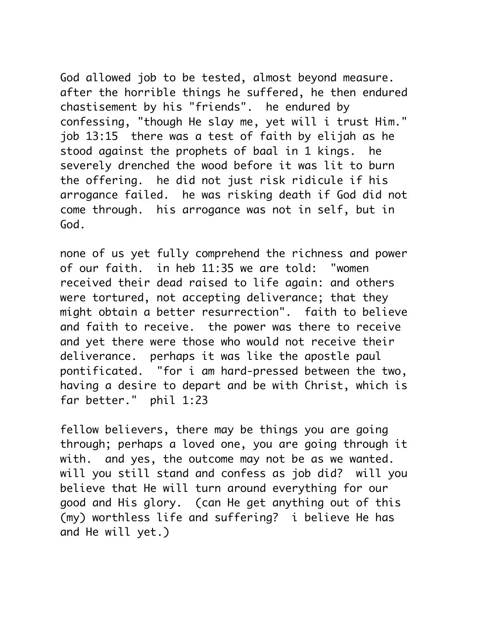God allowed job to be tested, almost beyond measure. after the horrible things he suffered, he then endured chastisement by his "friends". he endured by confessing, "though He slay me, yet will i trust Him." job 13:15 there was a test of faith by elijah as he stood against the prophets of baal in 1 kings. he severely drenched the wood before it was lit to burn the offering. he did not just risk ridicule if his arrogance failed. he was risking death if God did not come through. his arrogance was not in self, but in God.

none of us yet fully comprehend the richness and power of our faith. in heb 11:35 we are told: "women received their dead raised to life again: and others were tortured, not accepting deliverance; that they might obtain a better resurrection". faith to believe and faith to receive. the power was there to receive and yet there were those who would not receive their deliverance. perhaps it was like the apostle paul pontificated. "for i am hard-pressed between the two, having a desire to depart and be with Christ, which is far better." phil 1:23

fellow believers, there may be things you are going through; perhaps a loved one, you are going through it with. and yes, the outcome may not be as we wanted. will you still stand and confess as job did? will you believe that He will turn around everything for our good and His glory. (can He get anything out of this (my) worthless life and suffering? i believe He has and He will yet.)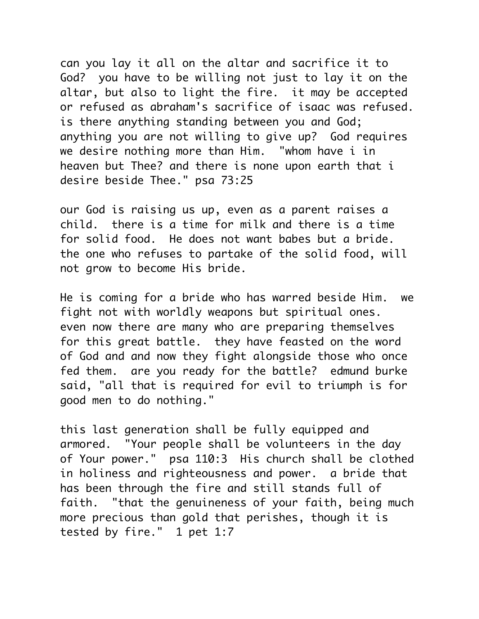can you lay it all on the altar and sacrifice it to God? you have to be willing not just to lay it on the altar, but also to light the fire. it may be accepted or refused as abraham's sacrifice of isaac was refused. is there anything standing between you and God; anything you are not willing to give up? God requires we desire nothing more than Him. "whom have i in heaven but Thee? and there is none upon earth that i desire beside Thee." psa 73:25

our God is raising us up, even as a parent raises a child. there is a time for milk and there is a time for solid food. He does not want babes but a bride. the one who refuses to partake of the solid food, will not grow to become His bride.

He is coming for a bride who has warred beside Him. we fight not with worldly weapons but spiritual ones. even now there are many who are preparing themselves for this great battle. they have feasted on the word of God and and now they fight alongside those who once fed them. are you ready for the battle? edmund burke said, "all that is required for evil to triumph is for good men to do nothing."

this last generation shall be fully equipped and armored. "Your people shall be volunteers in the day of Your power." psa 110:3 His church shall be clothed in holiness and righteousness and power. a bride that has been through the fire and still stands full of faith. "that the genuineness of your faith, being much more precious than gold that perishes, though it is tested by fire." 1 pet 1:7